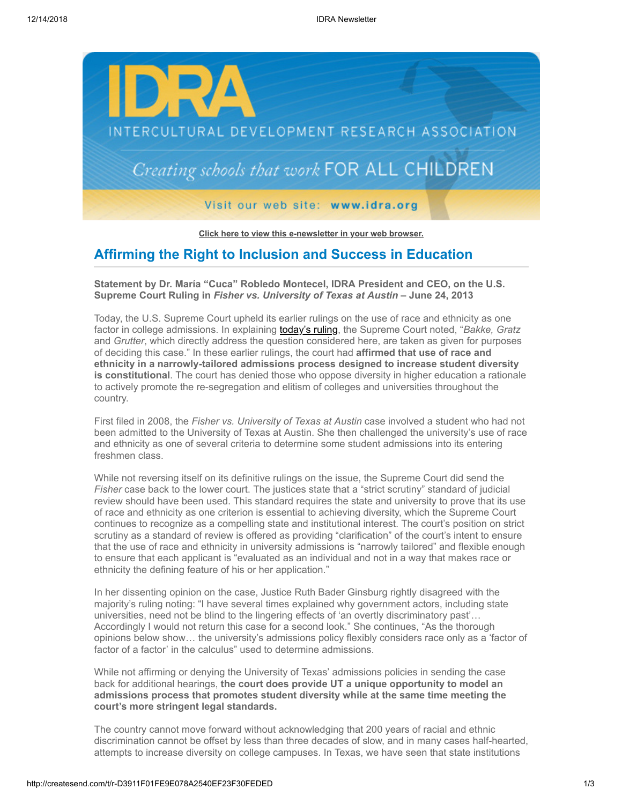

**[Click here to view this e-newsletter in your web browser.](http://newsletter.impulsedevelopment.com/t/r-e-beyhll-l-r/)**

## **Affirming the Right to Inclusion and Success in Education**

**Statement by Dr. María "Cuca" Robledo Montecel, IDRA President and CEO, on the U.S. Supreme Court Ruling in** *Fisher vs. University of Texas at Austin* **– June 24, 2013**

Today, the U.S. Supreme Court upheld its earlier rulings on the use of race and ethnicity as one factor in college admissions. In explaining **today's ruling**, the Supreme Court noted, "Bakke, Gratz and *Grutter*, which directly address the question considered here, are taken as given for purposes of deciding this case." In these earlier rulings, the court had **affirmed that use of race and ethnicity in a narrowly-tailored admissions process designed to increase student diversity is constitutional**. The court has denied those who oppose diversity in higher education a rationale to actively promote the re-segregation and elitism of colleges and universities throughout the country.

First filed in 2008, the *Fisher vs. University of Texas at Austin* case involved a student who had not been admitted to the University of Texas at Austin. She then challenged the university's use of race and ethnicity as one of several criteria to determine some student admissions into its entering freshmen class.

While not reversing itself on its definitive rulings on the issue, the Supreme Court did send the *Fisher* case back to the lower court. The justices state that a "strict scrutiny" standard of judicial review should have been used. This standard requires the state and university to prove that its use of race and ethnicity as one criterion is essential to achieving diversity, which the Supreme Court continues to recognize as a compelling state and institutional interest. The court's position on strict scrutiny as a standard of review is offered as providing "clarification" of the court's intent to ensure that the use of race and ethnicity in university admissions is "narrowly tailored" and flexible enough to ensure that each applicant is "evaluated as an individual and not in a way that makes race or ethnicity the defining feature of his or her application."

In her dissenting opinion on the case, Justice Ruth Bader Ginsburg rightly disagreed with the majority's ruling noting: "I have several times explained why government actors, including state universities, need not be blind to the lingering effects of 'an overtly discriminatory past'… Accordingly I would not return this case for a second look." She continues, "As the thorough opinions below show… the university's admissions policy flexibly considers race only as a 'factor of factor of a factor' in the calculus" used to determine admissions.

While not affirming or denying the University of Texas' admissions policies in sending the case back for additional hearings, **the court does provide UT a unique opportunity to model an admissions process that promotes student diversity while at the same time meeting the court's more stringent legal standards.**

The country cannot move forward without acknowledging that 200 years of racial and ethnic discrimination cannot be offset by less than three decades of slow, and in many cases half-hearted, attempts to increase diversity on college campuses. In Texas, we have seen that state institutions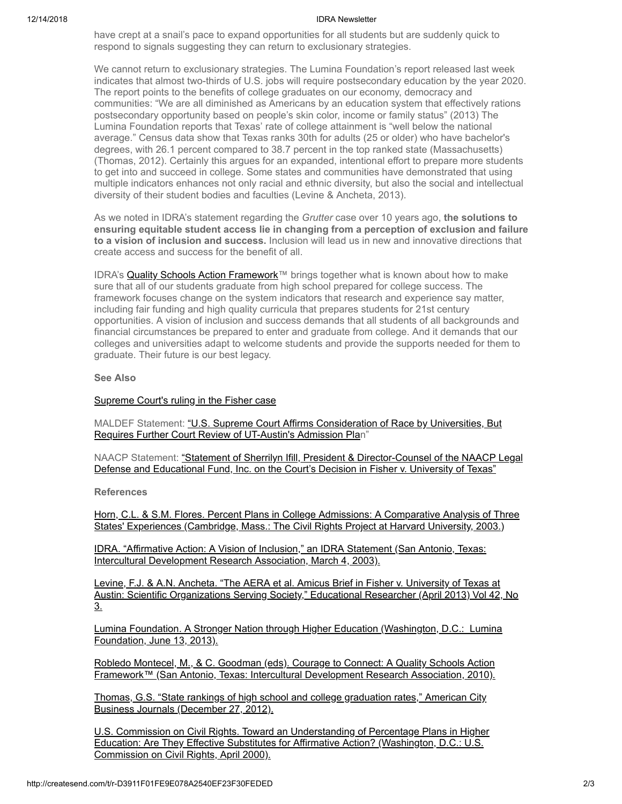## 12/14/2018 IDRA Newsletter

have crept at a snail's pace to expand opportunities for all students but are suddenly quick to respond to signals suggesting they can return to exclusionary strategies.

We cannot return to exclusionary strategies. The Lumina Foundation's report released last week indicates that almost two-thirds of U.S. jobs will require postsecondary education by the year 2020. The report points to the benefits of college graduates on our economy, democracy and communities: "We are all diminished as Americans by an education system that effectively rations postsecondary opportunity based on people's skin color, income or family status" (2013) The Lumina Foundation reports that Texas' rate of college attainment is "well below the national average." Census data show that Texas ranks 30th for adults (25 or older) who have bachelor's degrees, with 26.1 percent compared to 38.7 percent in the top ranked state (Massachusetts) (Thomas, 2012). Certainly this argues for an expanded, intentional effort to prepare more students to get into and succeed in college. Some states and communities have demonstrated that using multiple indicators enhances not only racial and ethnic diversity, but also the social and intellectual diversity of their student bodies and faculties (Levine & Ancheta, 2013).

As we noted in IDRA's statement regarding the *Grutter* case over 10 years ago, **the solutions to ensuring equitable student access lie in changing from a perception of exclusion and failure to a vision of inclusion and success.** Inclusion will lead us in new and innovative directions that create access and success for the benefit of all.

IDRA's [Quality Schools Action Framework™](http://idra.createsend1.com/t/r-l-beyhll-l-d/) brings together what is known about how to make sure that all of our students graduate from high school prepared for college success. The framework focuses change on the system indicators that research and experience say matter, including fair funding and high quality curricula that prepares students for 21st century opportunities. A vision of inclusion and success demands that all students of all backgrounds and financial circumstances be prepared to enter and graduate from college. And it demands that our colleges and universities adapt to welcome students and provide the supports needed for them to graduate. Their future is our best legacy.

## **See Also**

## [Supreme Court's ruling in the Fisher case](http://idra.createsend1.com/t/r-l-beyhll-l-o/)

[MALDEF Statement: "U.S. Supreme Court Affirms Consideration of Race by Universities, But](http://idra.createsend1.com/t/r-l-beyhll-l-b/) Requires Further Court Review of UT-Austin's Admission Plan"

[NAACP Statement: "Statement of Sherrilyn Ifill, President & Director-Counsel of the NAACP Legal](http://idra.createsend1.com/t/r-l-beyhll-l-n/) Defense and Educational Fund, Inc. on the Court's Decision in Fisher v. University of Texas"

**References**

[Horn, C.L. & S.M. Flores. Percent Plans in College Admissions: A Comparative Analysis of Three](http://idra.createsend1.com/t/r-l-beyhll-l-p/) States' Experiences (Cambridge, Mass.: The Civil Rights Project at Harvard University, 2003.)

[IDRA. "Affirmative Action: A Vision of Inclusion," an IDRA Statement \(San Antonio, Texas:](http://idra.createsend1.com/t/r-l-beyhll-l-x/) Intercultural Development Research Association, March 4, 2003).

Levine, F.J. & A.N. Ancheta. "The AERA et al. Amicus Brief in Fisher v. University of Texas at [Austin: Scientific Organizations Serving Society," Educational Researcher \(April 2013\) Vol 42, No](http://idra.createsend1.com/t/r-l-beyhll-l-m/) 3.

[Lumina Foundation. A Stronger Nation through Higher Education \(Washington, D.C.: Lumina](http://idra.createsend1.com/t/r-l-beyhll-l-c/) Foundation, June 13, 2013).

Robledo Montecel, M., & C. Goodman (eds). Courage to Connect: A Quality Schools Action [Framework™ \(San Antonio, Texas: Intercultural Development Research Association, 2010\).](http://idra.createsend1.com/t/r-l-beyhll-l-q/)

[Thomas, G.S. "State rankings of high school and college graduation rates," American City](http://idra.createsend1.com/t/r-l-beyhll-l-a/) Business Journals (December 27, 2012).

[U.S. Commission on Civil Rights. Toward an Understanding of Percentage Plans in Higher](http://idra.createsend1.com/t/r-l-beyhll-l-f/) Education: Are They Effective Substitutes for Affirmative Action? (Washington, D.C.: U.S. Commission on Civil Rights, April 2000).